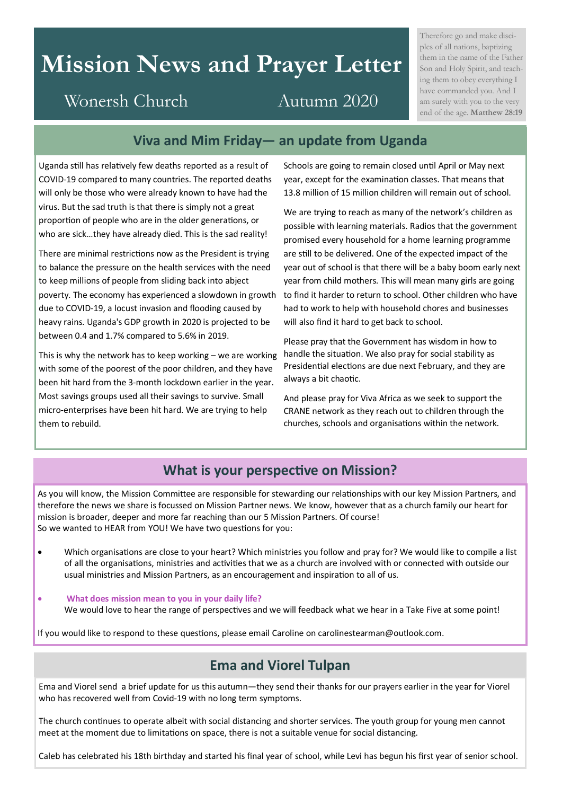# **Mission News and Prayer Letter**

## Wonersh Church Autumn 2020

Therefore go and make disciples of all nations, baptizing them in the name of the Father Son and Holy Spirit, and teaching them to obey everything I have commanded you. And I am surely with you to the very end of the age. **Matthew 28:19**

### **Viva and Mim Friday— an update from Uganda**

Uganda still has relatively few deaths reported as a result of COVID-19 compared to many countries. The reported deaths will only be those who were already known to have had the virus. But the sad truth is that there is simply not a great proportion of people who are in the older generations, or who are sick…they have already died. This is the sad reality!

There are minimal restrictions now as the President is trying to balance the pressure on the health services with the need to keep millions of people from sliding back into abject poverty. The economy has experienced a slowdown in growth due to COVID-19, a locust invasion and flooding caused by heavy rains. Uganda's GDP growth in 2020 is projected to be between 0.4 and 1.7% compared to 5.6% in 2019.

This is why the network has to keep working – we are working with some of the poorest of the poor children, and they have been hit hard from the 3-month lockdown earlier in the year. Most savings groups used all their savings to survive. Small micro-enterprises have been hit hard. We are trying to help them to rebuild.

Schools are going to remain closed until April or May next year, except for the examination classes. That means that 13.8 million of 15 million children will remain out of school.

We are trying to reach as many of the network's children as possible with learning materials. Radios that the government promised every household for a home learning programme are still to be delivered. One of the expected impact of the year out of school is that there will be a baby boom early next year from child mothers. This will mean many girls are going to find it harder to return to school. Other children who have had to work to help with household chores and businesses will also find it hard to get back to school.

Please pray that the Government has wisdom in how to handle the situation. We also pray for social stability as Presidential elections are due next February, and they are always a bit chaotic.

And please pray for Viva Africa as we seek to support the CRANE network as they reach out to children through the churches, schools and organisations within the network.

### **What is your perspective on Mission?**

As you will know, the Mission Committee are responsible for stewarding our relationships with our key Mission Partners, and therefore the news we share is focussed on Mission Partner news. We know, however that as a church family our heart for mission is broader, deeper and more far reaching than our 5 Mission Partners. Of course! So we wanted to HEAR from YOU! We have two questions for you:

- Which organisations are close to your heart? Which ministries you follow and pray for? We would like to compile a list of all the organisations, ministries and activities that we as a church are involved with or connected with outside our usual ministries and Mission Partners, as an encouragement and inspiration to all of us.
- **What does mission mean to you in your daily life?**  We would love to hear the range of perspectives and we will feedback what we hear in a Take Five at some point!

If you would like to respond to these questions, please email Caroline on carolinestearman@outlook.com.

### **Ema and Viorel Tulpan**

Ema and Viorel send a brief update for us this autumn—they send their thanks for our prayers earlier in the year for Viorel who has recovered well from Covid-19 with no long term symptoms.

The church continues to operate albeit with social distancing and shorter services. The youth group for young men cannot meet at the moment due to limitations on space, there is not a suitable venue for social distancing.

Caleb has celebrated his 18th birthday and started his final year of school, while Levi has begun his first year of senior school.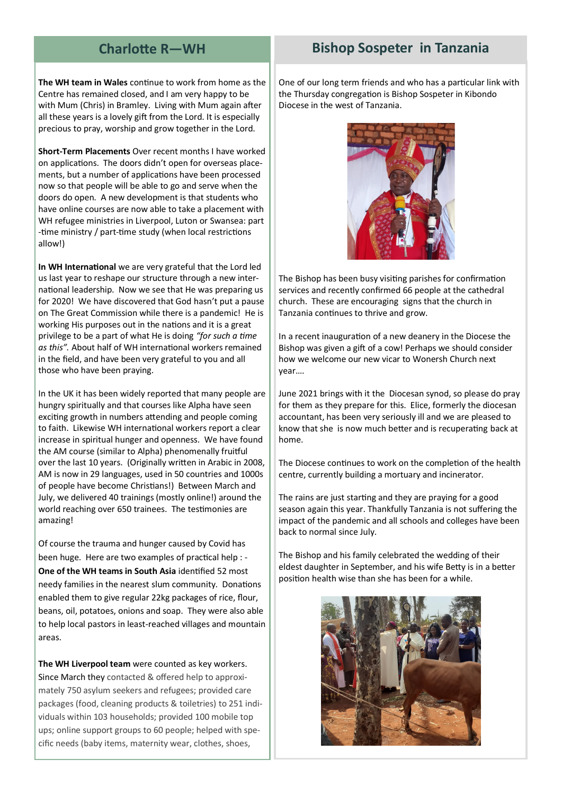### **The WH team in Wales** continue to work from home as the Centre has remained closed, and I am very happy to be with Mum (Chris) in Bramley. Living with Mum again after all these years is a lovely gift from the Lord. It is especially precious to pray, worship and grow together in the Lord.

**Short-Term Placements** Over recent months I have worked on applications. The doors didn't open for overseas placements, but a number of applications have been processed now so that people will be able to go and serve when the doors do open. A new development is that students who have online courses are now able to take a placement with WH refugee ministries in Liverpool, Luton or Swansea: part -time ministry / part-time study (when local restrictions allow!)

**In WH International** we are very grateful that the Lord led us last year to reshape our structure through a new international leadership. Now we see that He was preparing us for 2020! We have discovered that God hasn't put a pause on The Great Commission while there is a pandemic! He is working His purposes out in the nations and it is a great privilege to be a part of what He is doing *"for such a time as this".* About half of WH international workers remained in the field, and have been very grateful to you and all those who have been praying.

In the UK it has been widely reported that many people are hungry spiritually and that courses like Alpha have seen exciting growth in numbers attending and people coming to faith. Likewise WH international workers report a clear increase in spiritual hunger and openness. We have found the AM course (similar to Alpha) phenomenally fruitful over the last 10 years. (Originally written in Arabic in 2008, AM is now in 29 languages, used in 50 countries and 1000s of people have become Christians!) Between March and July, we delivered 40 trainings (mostly online!) around the world reaching over 650 trainees. The testimonies are amazing!

Of course the trauma and hunger caused by Covid has been huge. Here are two examples of practical help : - **One of the WH teams in South Asia** identified 52 most needy families in the nearest slum community. Donations enabled them to give regular 22kg packages of rice, flour, beans, oil, potatoes, onions and soap. They were also able to help local pastors in least-reached villages and mountain areas.

**The WH Liverpool team** were counted as key workers. Since March they contacted & offered help to approximately 750 asylum seekers and refugees; provided care packages (food, cleaning products & toiletries) to 251 individuals within 103 households; provided 100 mobile top ups; online support groups to 60 people; helped with specific needs (baby items, maternity wear, clothes, shoes,

One of our long term friends and who has a particular link with the Thursday congregation is Bishop Sospeter in Kibondo Diocese in the west of Tanzania.



The Bishop has been busy visiting parishes for confirmation services and recently confirmed 66 people at the cathedral church. These are encouraging signs that the church in Tanzania continues to thrive and grow.

In a recent inauguration of a new deanery in the Diocese the Bishop was given a gift of a cow! Perhaps we should consider how we welcome our new vicar to Wonersh Church next year….

June 2021 brings with it the Diocesan synod, so please do pray for them as they prepare for this. Elice, formerly the diocesan accountant, has been very seriously ill and we are pleased to know that she is now much better and is recuperating back at home.

The Diocese continues to work on the completion of the health centre, currently building a mortuary and incinerator.

The rains are just starting and they are praying for a good season again this year. Thankfully Tanzania is not suffering the impact of the pandemic and all schools and colleges have been back to normal since July.

The Bishop and his family celebrated the wedding of their eldest daughter in September, and his wife Betty is in a better position health wise than she has been for a while.



### **Charlotte R—WH Bishop Sospeter in Tanzania**